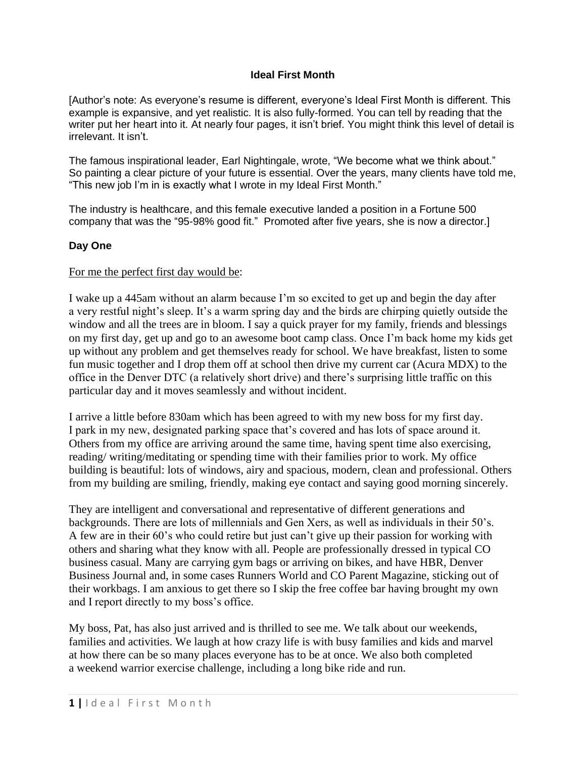## **Ideal First Month**

[Author's note: As everyone's resume is different, everyone's Ideal First Month is different. This example is expansive, and yet realistic. It is also fully-formed. You can tell by reading that the writer put her heart into it. At nearly four pages, it isn't brief. You might think this level of detail is irrelevant. It isn't.

The famous inspirational leader, Earl Nightingale, wrote, "We become what we think about." So painting a clear picture of your future is essential. Over the years, many clients have told me, "This new job I'm in is exactly what I wrote in my Ideal First Month."

The industry is healthcare, and this female executive landed a position in a Fortune 500 company that was the "95-98% good fit." Promoted after five years, she is now a director.]

## **Day One**

## For me the perfect first day would be:

I wake up a 445am without an alarm because I'm so excited to get up and begin the day after a very restful night's sleep. It's a warm spring day and the birds are chirping quietly outside the window and all the trees are in bloom. I say a quick prayer for my family, friends and blessings on my first day, get up and go to an awesome boot camp class. Once I'm back home my kids get up without any problem and get themselves ready for school. We have breakfast, listen to some fun music together and I drop them off at school then drive my current car (Acura MDX) to the office in the Denver DTC (a relatively short drive) and there's surprising little traffic on this particular day and it moves seamlessly and without incident.

I arrive a little before 830am which has been agreed to with my new boss for my first day. I park in my new, designated parking space that's covered and has lots of space around it. Others from my office are arriving around the same time, having spent time also exercising, reading/ writing/meditating or spending time with their families prior to work. My office building is beautiful: lots of windows, airy and spacious, modern, clean and professional. Others from my building are smiling, friendly, making eye contact and saying good morning sincerely.

They are intelligent and conversational and representative of different generations and backgrounds. There are lots of millennials and Gen Xers, as well as individuals in their 50's. A few are in their 60's who could retire but just can't give up their passion for working with others and sharing what they know with all. People are professionally dressed in typical CO business casual. Many are carrying gym bags or arriving on bikes, and have HBR, Denver Business Journal and, in some cases Runners World and CO Parent Magazine, sticking out of their workbags. I am anxious to get there so I skip the free coffee bar having brought my own and I report directly to my boss's office.

My boss, Pat, has also just arrived and is thrilled to see me. We talk about our weekends, families and activities. We laugh at how crazy life is with busy families and kids and marvel at how there can be so many places everyone has to be at once. We also both completed a weekend warrior exercise challenge, including a long bike ride and run.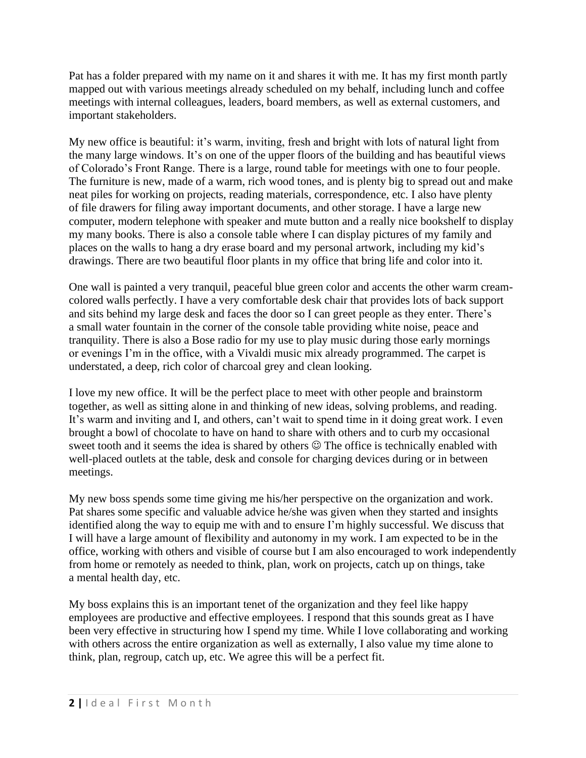Pat has a folder prepared with my name on it and shares it with me. It has my first month partly mapped out with various meetings already scheduled on my behalf, including lunch and coffee meetings with internal colleagues, leaders, board members, as well as external customers, and important stakeholders.

My new office is beautiful: it's warm, inviting, fresh and bright with lots of natural light from the many large windows. It's on one of the upper floors of the building and has beautiful views of Colorado's Front Range. There is a large, round table for meetings with one to four people. The furniture is new, made of a warm, rich wood tones, and is plenty big to spread out and make neat piles for working on projects, reading materials, correspondence, etc. I also have plenty of file drawers for filing away important documents, and other storage. I have a large new computer, modern telephone with speaker and mute button and a really nice bookshelf to display my many books. There is also a console table where I can display pictures of my family and places on the walls to hang a dry erase board and my personal artwork, including my kid's drawings. There are two beautiful floor plants in my office that bring life and color into it.

One wall is painted a very tranquil, peaceful blue green color and accents the other warm creamcolored walls perfectly. I have a very comfortable desk chair that provides lots of back support and sits behind my large desk and faces the door so I can greet people as they enter. There's a small water fountain in the corner of the console table providing white noise, peace and tranquility. There is also a Bose radio for my use to play music during those early mornings or evenings I'm in the office, with a Vivaldi music mix already programmed. The carpet is understated, a deep, rich color of charcoal grey and clean looking.

I love my new office. It will be the perfect place to meet with other people and brainstorm together, as well as sitting alone in and thinking of new ideas, solving problems, and reading. It's warm and inviting and I, and others, can't wait to spend time in it doing great work. I even brought a bowl of chocolate to have on hand to share with others and to curb my occasional sweet tooth and it seems the idea is shared by others  $\odot$  The office is technically enabled with well-placed outlets at the table, desk and console for charging devices during or in between meetings.

My new boss spends some time giving me his/her perspective on the organization and work. Pat shares some specific and valuable advice he/she was given when they started and insights identified along the way to equip me with and to ensure I'm highly successful. We discuss that I will have a large amount of flexibility and autonomy in my work. I am expected to be in the office, working with others and visible of course but I am also encouraged to work independently from home or remotely as needed to think, plan, work on projects, catch up on things, take a mental health day, etc.

My boss explains this is an important tenet of the organization and they feel like happy employees are productive and effective employees. I respond that this sounds great as I have been very effective in structuring how I spend my time. While I love collaborating and working with others across the entire organization as well as externally, I also value my time alone to think, plan, regroup, catch up, etc. We agree this will be a perfect fit.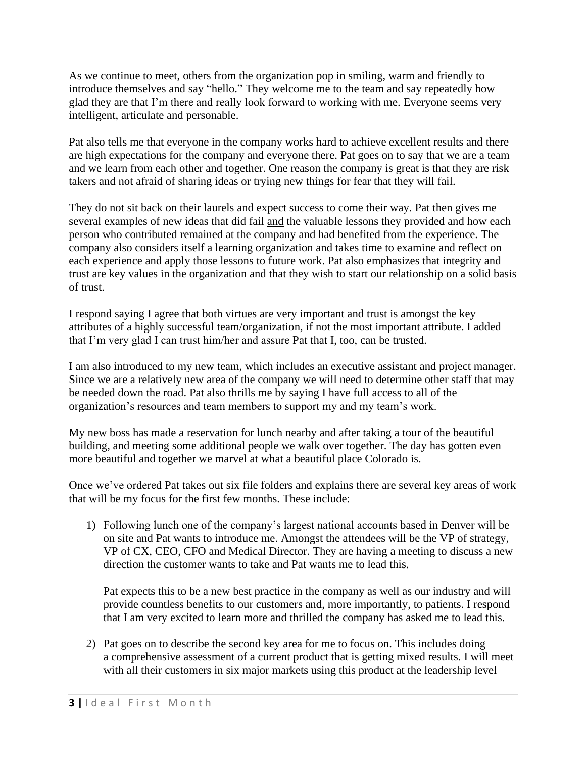As we continue to meet, others from the organization pop in smiling, warm and friendly to introduce themselves and say "hello." They welcome me to the team and say repeatedly how glad they are that I'm there and really look forward to working with me. Everyone seems very intelligent, articulate and personable.

Pat also tells me that everyone in the company works hard to achieve excellent results and there are high expectations for the company and everyone there. Pat goes on to say that we are a team and we learn from each other and together. One reason the company is great is that they are risk takers and not afraid of sharing ideas or trying new things for fear that they will fail.

They do not sit back on their laurels and expect success to come their way. Pat then gives me several examples of new ideas that did fail and the valuable lessons they provided and how each person who contributed remained at the company and had benefited from the experience. The company also considers itself a learning organization and takes time to examine and reflect on each experience and apply those lessons to future work. Pat also emphasizes that integrity and trust are key values in the organization and that they wish to start our relationship on a solid basis of trust.

I respond saying I agree that both virtues are very important and trust is amongst the key attributes of a highly successful team/organization, if not the most important attribute. I added that I'm very glad I can trust him/her and assure Pat that I, too, can be trusted.

I am also introduced to my new team, which includes an executive assistant and project manager. Since we are a relatively new area of the company we will need to determine other staff that may be needed down the road. Pat also thrills me by saying I have full access to all of the organization's resources and team members to support my and my team's work.

My new boss has made a reservation for lunch nearby and after taking a tour of the beautiful building, and meeting some additional people we walk over together. The day has gotten even more beautiful and together we marvel at what a beautiful place Colorado is.

Once we've ordered Pat takes out six file folders and explains there are several key areas of work that will be my focus for the first few months. These include:

1) Following lunch one of the company's largest national accounts based in Denver will be on site and Pat wants to introduce me. Amongst the attendees will be the VP of strategy, VP of CX, CEO, CFO and Medical Director. They are having a meeting to discuss a new direction the customer wants to take and Pat wants me to lead this.

Pat expects this to be a new best practice in the company as well as our industry and will provide countless benefits to our customers and, more importantly, to patients. I respond that I am very excited to learn more and thrilled the company has asked me to lead this.

2) Pat goes on to describe the second key area for me to focus on. This includes doing a comprehensive assessment of a current product that is getting mixed results. I will meet with all their customers in six major markets using this product at the leadership level